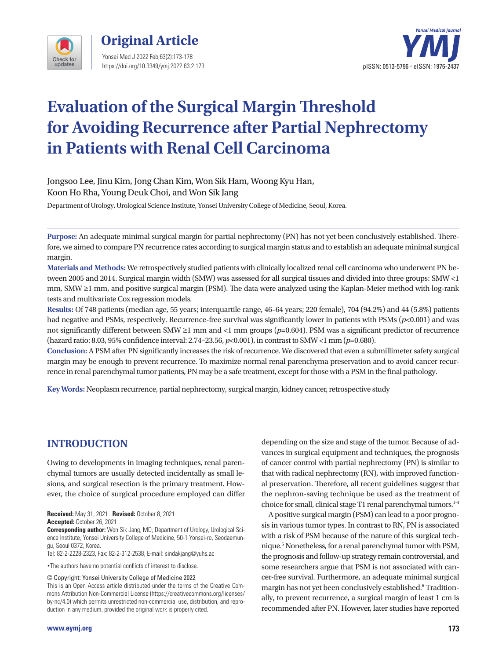



# **Evaluation of the Surgical Margin Threshold for Avoiding Recurrence after Partial Nephrectomy in Patients with Renal Cell Carcinoma**

Jongsoo Lee, Jinu Kim, Jong Chan Kim, Won Sik Ham, Woong Kyu Han, Koon Ho Rha, Young Deuk Choi, and Won Sik Jang

Department of Urology, Urological Science Institute, Yonsei University College of Medicine, Seoul, Korea.

**Purpose:** An adequate minimal surgical margin for partial nephrectomy (PN) has not yet been conclusively established. Therefore, we aimed to compare PN recurrence rates according to surgical margin status and to establish an adequate minimal surgical margin.

**Materials and Methods:** We retrospectively studied patients with clinically localized renal cell carcinoma who underwent PN between 2005 and 2014. Surgical margin width (SMW) was assessed for all surgical tissues and divided into three groups: SMW <1 mm, SMW ≥1 mm, and positive surgical margin (PSM). The data were analyzed using the Kaplan-Meier method with log-rank tests and multivariate Cox regression models.

**Results:** Of 748 patients (median age, 55 years; interquartile range, 46–64 years; 220 female), 704 (94.2%) and 44 (5.8%) patients had negative and PSMs, respectively. Recurrence-free survival was significantly lower in patients with PSMs (*p*<0.001) and was not significantly different between SMW ≥1 mm and <1 mm groups (*p*=0.604). PSM was a significant predictor of recurrence (hazard ratio: 8.03, 95% confidence interval: 2.74–23.56, *p*<0.001), in contrast to SMW <1 mm (*p*=0.680).

**Conclusion:** A PSM after PN significantly increases the risk of recurrence. We discovered that even a submillimeter safety surgical margin may be enough to prevent recurrence. To maximize normal renal parenchyma preservation and to avoid cancer recurrence in renal parenchymal tumor patients, PN may be a safe treatment, except for those with a PSM in the final pathology.

**Key Words:** Neoplasm recurrence, partial nephrectomy, surgical margin, kidney cancer, retrospective study

## **INTRODUCTION**

Owing to developments in imaging techniques, renal parenchymal tumors are usually detected incidentally as small lesions, and surgical resection is the primary treatment. However, the choice of surgical procedure employed can differ

•The authors have no potential conflicts of interest to disclose.

© Copyright: Yonsei University College of Medicine 2022

depending on the size and stage of the tumor. Because of advances in surgical equipment and techniques, the prognosis of cancer control with partial nephrectomy (PN) is similar to that with radical nephrectomy (RN), with improved functional preservation. Therefore, all recent guidelines suggest that the nephron-saving technique be used as the treatment of choice for small, clinical stage T1 renal parenchymal tumors.<sup>1-4</sup>

A positive surgical margin (PSM) can lead to a poor prognosis in various tumor types. In contrast to RN, PN is associated with a risk of PSM because of the nature of this surgical technique.<sup>5</sup> Nonetheless, for a renal parenchymal tumor with PSM, the prognosis and follow-up strategy remain controversial, and some researchers argue that PSM is not associated with cancer-free survival. Furthermore, an adequate minimal surgical margin has not yet been conclusively established.<sup>6</sup> Traditionally, to prevent recurrence, a surgical margin of least 1 cm is recommended after PN. However, later studies have reported

**Received:** May 31, 2021 **Revised:** October 8, 2021 **Accepted:** October 26, 2021

**Corresponding author:** Won Sik Jang, MD, Department of Urology, Urological Science Institute, Yonsei University College of Medicine, 50-1 Yonsei-ro, Seodaemungu, Seoul 0372, Korea.

Tel: 82-2-2228-2323, Fax: 82-2-312-2538, E-mail: sindakjang@yuhs.ac

This is an Open Access article distributed under the terms of the Creative Commons Attribution Non-Commercial License (https://creativecommons.org/licenses/ by-nc/4.0) which permits unrestricted non-commercial use, distribution, and reproduction in any medium, provided the original work is properly cited.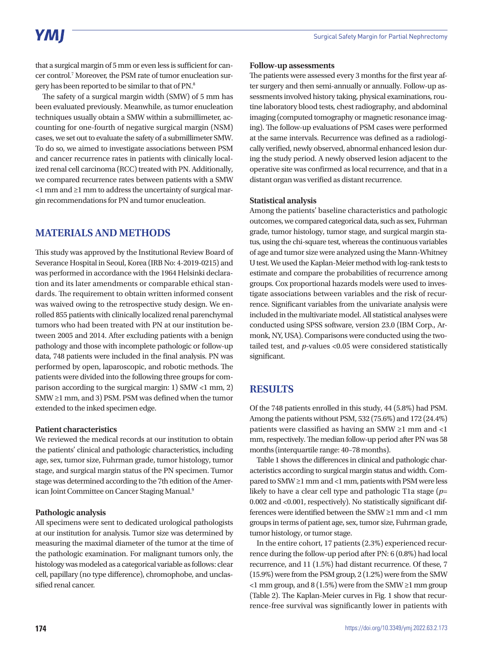# **YMI**

that a surgical margin of 5 mm or even less is sufficient for cancer control.<sup>7</sup> Moreover, the PSM rate of tumor enucleation surgery has been reported to be similar to that of PN.8

The safety of a surgical margin width (SMW) of 5 mm has been evaluated previously. Meanwhile, as tumor enucleation techniques usually obtain a SMW within a submillimeter, accounting for one-fourth of negative surgical margin (NSM) cases, we set out to evaluate the safety of a submillimeter SMW. To do so, we aimed to investigate associations between PSM and cancer recurrence rates in patients with clinically localized renal cell carcinoma (RCC) treated with PN. Additionally, we compared recurrence rates between patients with a SMW <1 mm and ≥1 mm to address the uncertainty of surgical margin recommendations for PN and tumor enucleation.

## **MATERIALS AND METHODS**

This study was approved by the Institutional Review Board of Severance Hospital in Seoul, Korea (IRB No: 4-2019-0215) and was performed in accordance with the 1964 Helsinki declaration and its later amendments or comparable ethical standards. The requirement to obtain written informed consent was waived owing to the retrospective study design. We enrolled 855 patients with clinically localized renal parenchymal tumors who had been treated with PN at our institution between 2005 and 2014. After excluding patients with a benign pathology and those with incomplete pathologic or follow-up data, 748 patients were included in the final analysis. PN was performed by open, laparoscopic, and robotic methods. The patients were divided into the following three groups for comparison according to the surgical margin: 1) SMW <1 mm, 2) SMW ≥1 mm, and 3) PSM. PSM was defined when the tumor extended to the inked specimen edge.

#### **Patient characteristics**

We reviewed the medical records at our institution to obtain the patients' clinical and pathologic characteristics, including age, sex, tumor size, Fuhrman grade, tumor histology, tumor stage, and surgical margin status of the PN specimen. Tumor stage was determined according to the 7th edition of the American Joint Committee on Cancer Staging Manual.<sup>9</sup>

#### **Pathologic analysis**

All specimens were sent to dedicated urological pathologists at our institution for analysis. Tumor size was determined by measuring the maximal diameter of the tumor at the time of the pathologic examination. For malignant tumors only, the histology was modeled as a categorical variable as follows: clear cell, papillary (no type difference), chromophobe, and unclassified renal cancer.

#### **Follow-up assessments**

The patients were assessed every 3 months for the first year after surgery and then semi-annually or annually. Follow-up assessments involved history taking, physical examinations, routine laboratory blood tests, chest radiography, and abdominal imaging (computed tomography or magnetic resonance imaging). The follow-up evaluations of PSM cases were performed at the same intervals. Recurrence was defined as a radiologically verified, newly observed, abnormal enhanced lesion during the study period. A newly observed lesion adjacent to the operative site was confirmed as local recurrence, and that in a distant organ was verified as distant recurrence.

#### **Statistical analysis**

Among the patients' baseline characteristics and pathologic outcomes, we compared categorical data, such as sex, Fuhrman grade, tumor histology, tumor stage, and surgical margin status, using the chi-square test, whereas the continuous variables of age and tumor size were analyzed using the Mann-Whitney U test. We used the Kaplan-Meier method with log-rank tests to estimate and compare the probabilities of recurrence among groups. Cox proportional hazards models were used to investigate associations between variables and the risk of recurrence. Significant variables from the univariate analysis were included in the multivariate model. All statistical analyses were conducted using SPSS software, version 23.0 (IBM Corp., Armonk, NY, USA). Comparisons were conducted using the twotailed test, and *p*-values <0.05 were considered statistically significant.

### **RESULTS**

Of the 748 patients enrolled in this study, 44 (5.8%) had PSM. Among the patients without PSM, 532 (75.6%) and 172 (24.4%) patients were classified as having an SMW ≥1 mm and <1 mm, respectively. The median follow-up period after PN was 58 months (interquartile range: 40–78 months).

Table 1 shows the differences in clinical and pathologic characteristics according to surgical margin status and width. Compared to SMW ≥1 mm and <1 mm, patients with PSM were less likely to have a clear cell type and pathologic T1a stage (*p*= 0.002 and <0.001, respectively). No statistically significant differences were identified between the SMW ≥1 mm and <1 mm groups in terms of patient age, sex, tumor size, Fuhrman grade, tumor histology, or tumor stage.

In the entire cohort, 17 patients (2.3%) experienced recurrence during the follow-up period after PN: 6 (0.8%) had local recurrence, and 11 (1.5%) had distant recurrence. Of these, 7 (15.9%) were from the PSM group, 2 (1.2%) were from the SMW  $\leq$  1 mm group, and 8 (1.5%) were from the SMW  $\geq$  1 mm group (Table 2). The Kaplan-Meier curves in Fig. 1 show that recurrence-free survival was significantly lower in patients with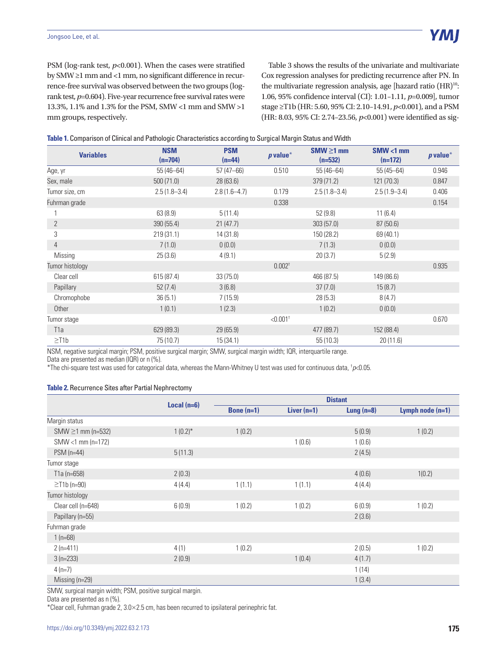PSM (log-rank test,  $p<0.001$ ). When the cases were stratified by SMW ≥1 mm and <1 mm, no significant difference in recurrence-free survival was observed between the two groups (logrank test, *p*=0.604). Five-year recurrence free survival rates were 13.3%, 1.1% and 1.3% for the PSM, SMW <1 mm and SMW >1 mm groups, respectively.

Table 3 shows the results of the univariate and multivariate Cox regression analyses for predicting recurrence after PN. In the multivariate regression analysis, age [hazard ratio (HR)<sup>10</sup>: 1.06, 95% confidence interval (CI): 1.01–1.11, *p*=0.009], tumor stage ≥T1b (HR: 5.60, 95% CI: 2.10–14.91, *p*<0.001), and a PSM (HR: 8.03, 95% CI: 2.74–23.56, *p*<0.001) were identified as sig-

|  |  | Table 1. Comparison of Clinical and Pathologic Characteristics according to Surgical Margin Status and Width |
|--|--|--------------------------------------------------------------------------------------------------------------|
|  |  |                                                                                                              |
|  |  |                                                                                                              |

| <b>Variables</b> | <b>NSM</b><br>$(n=704)$ | <b>PSM</b><br>$(n=44)$ | $p$ value*             | $SMW \ge 1$ mm<br>$(n=532)$ | $SMW < 1$ mm<br>$(n=172)$ | $p$ value* |
|------------------|-------------------------|------------------------|------------------------|-----------------------------|---------------------------|------------|
| Age, yr          | $55(46 - 64)$           | $57(47 - 66)$          | 0.510                  | $55(46 - 64)$               | $55(45 - 64)$             | 0.946      |
| Sex, male        | 500(71.0)               | 28(63.6)               |                        | 379 (71.2)                  | 121 (70.3)                | 0.847      |
| Tumor size, cm   | $2.5(1.8-3.4)$          | $2.8(1.6-4.7)$         | 0.179                  | $2.5(1.8-3.4)$              | $2.5(1.9 - 3.4)$          | 0.406      |
| Fuhrman grade    |                         |                        | 0.338                  |                             |                           | 0.154      |
|                  | 63(8.9)                 | 5(11.4)                |                        | 52(9.8)                     | 11(6.4)                   |            |
| $\mathbf{2}$     | 390(55.4)               | 21(47.7)               |                        | 303(57.0)                   | 87(50.6)                  |            |
| 3                | 219(31.1)               | 14 (31.8)              |                        | 150 (28.2)                  | 69 (40.1)                 |            |
| $\overline{4}$   | 7(1.0)                  | 0(0.0)                 |                        | 7(1.3)                      | 0(0.0)                    |            |
| Missing          | 25(3.6)                 | 4(9.1)                 |                        | 20(3.7)                     | 5(2.9)                    |            |
| Tumor histology  |                         |                        | $0.002^{\dagger}$      |                             |                           | 0.935      |
| Clear cell       | 615(87.4)               | 33(75.0)               |                        | 466 (87.5)                  | 149 (86.6)                |            |
| Papillary        | 52(7.4)                 | 3(6.8)                 |                        | 37(7.0)                     | 15(8.7)                   |            |
| Chromophobe      | 36(5.1)                 | 7(15.9)                |                        | 28(5.3)                     | 8(4.7)                    |            |
| Other            | 1(0.1)                  | 1(2.3)                 |                        | 1(0.2)                      | 0(0.0)                    |            |
| Tumor stage      |                         |                        | $< 0.001$ <sup>+</sup> |                             |                           | 0.670      |
| T <sub>1</sub> a | 629 (89.3)              | 29(65.9)               |                        | 477 (89.7)                  | 152 (88.4)                |            |
| $\geq$ T1b       | 75 (10.7)               | 15(34.1)               |                        | 55(10.3)                    | 20(11.6)                  |            |

NSM, negative surgical margin; PSM, positive surgical margin; SMW, surgical margin width; IQR, interquartile range.

Data are presented as median (IQR) or n (%).

\*The chi-square test was used for categorical data, whereas the Mann-Whitney U test was used for continuous data, † *p*<0.05.

### **Table 2.** Recurrence Sites after Partial Nephrectomy

|                        |               | <b>Distant</b> |               |              |                    |
|------------------------|---------------|----------------|---------------|--------------|--------------------|
|                        | Local $(n=6)$ | Bone $(n=1)$   | Liver $(n=1)$ | Lung $(n=8)$ | Lymph node $(n=1)$ |
| Margin status          |               |                |               |              |                    |
| $SMW \ge 1$ mm (n=532) | $1(0.2)$ *    | 1(0.2)         |               | 5(0.9)       | 1(0.2)             |
| SMW <1 mm (n=172)      |               |                | 1(0.6)        | 1(0.6)       |                    |
| $PSM$ (n=44)           | 5(11.3)       |                |               | 2(4.5)       |                    |
| Tumor stage            |               |                |               |              |                    |
| $T1a (n=658)$          | 2(0.3)        |                |               | 4(0.6)       | 1(0.2)             |
| $\geq$ T1b (n=90)      | 4(4.4)        | 1(1.1)         | 1(1.1)        | 4(4.4)       |                    |
| Tumor histology        |               |                |               |              |                    |
| Clear cell (n=648)     | 6(0.9)        | 1(0.2)         | 1(0.2)        | 6(0.9)       | 1(0.2)             |
| Papillary (n=55)       |               |                |               | 2(3.6)       |                    |
| Fuhrman grade          |               |                |               |              |                    |
| 1 $(n=68)$             |               |                |               |              |                    |
| $2(n=411)$             | 4(1)          | 1(0.2)         |               | 2(0.5)       | 1(0.2)             |
| $3(n=233)$             | 2(0.9)        |                | 1(0.4)        | 4(1.7)       |                    |
| $4(n=7)$               |               |                |               | 1(14)        |                    |
| Missing $(n=29)$       |               |                |               | 1(3.4)       |                    |

SMW, surgical margin width; PSM, positive surgical margin.

Data are presented as n (%).

\*Clear cell, Fuhrman grade 2, 3.0×2.5 cm, has been recurred to ipsilateral perinephric fat.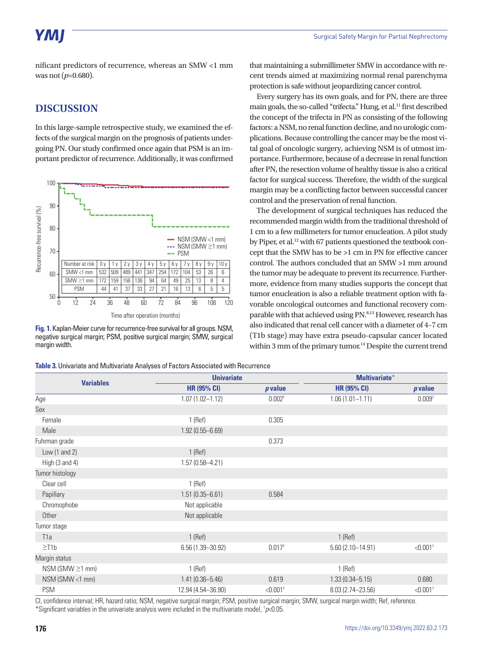# YMI

nificant predictors of recurrence, whereas an SMW <1 mm was not (*p*=0.680).

## **DISCUSSION**

In this large-sample retrospective study, we examined the effects of the surgical margin on the prognosis of patients undergoing PN. Our study confirmed once again that PSM is an important predictor of recurrence. Additionally, it was confirmed



**Fig. 1.** Kaplan-Meier curve for recurrence-free survival for all groups. NSM, negative surgical margin; PSM, positive surgical margin; SMW, surgical margin width.

that maintaining a submillimeter SMW in accordance with recent trends aimed at maximizing normal renal parenchyma protection is safe without jeopardizing cancer control.

Every surgery has its own goals, and for PN, there are three main goals, the so-called "trifecta." Hung, et al.<sup>11</sup> first described the concept of the trifecta in PN as consisting of the following factors: a NSM, no renal function decline, and no urologic complications. Because controlling the cancer may be the most vital goal of oncologic surgery, achieving NSM is of utmost importance. Furthermore, because of a decrease in renal function after PN, the resection volume of healthy tissue is also a critical factor for surgical success. Therefore, the width of the surgical margin may be a conflicting factor between successful cancer control and the preservation of renal function.

The development of surgical techniques has reduced the recommended margin width from the traditional threshold of 1 cm to a few millimeters for tumor enucleation. A pilot study by Piper, et al.<sup>12</sup> with 67 patients questioned the textbook concept that the SMW has to be >1 cm in PN for effective cancer control. The authors concluded that an SMW >1 mm around the tumor may be adequate to prevent its recurrence. Furthermore, evidence from many studies supports the concept that tumor enucleation is also a reliable treatment option with favorable oncological outcomes and functional recovery comparable with that achieved using PN.<sup>8,13</sup> However, research has also indicated that renal cell cancer with a diameter of 4–7 cm (T1b stage) may have extra pseudo-capsular cancer located within 3 mm of the primary tumor.<sup>14</sup> Despite the current trend

| <b>Variables</b>          | <b>Univariate</b>    |                        | <b>Multivariate*</b> |                        |  |
|---------------------------|----------------------|------------------------|----------------------|------------------------|--|
|                           | <b>HR (95% CI)</b>   | <i>p</i> value         | <b>HR (95% CI)</b>   | p value                |  |
| Age                       | $1.07(1.02 - 1.12)$  | $0.002^+$              | $1.06(1.01 - 1.11)$  | 0.009 <sup>†</sup>     |  |
| Sex                       |                      |                        |                      |                        |  |
| Female                    | $1$ (Ref)            | 0.305                  |                      |                        |  |
| Male                      | $1.92(0.55 - 6.69)$  |                        |                      |                        |  |
| Fuhrman grade             |                      | 0.373                  |                      |                        |  |
| Low $(1$ and $2)$         | $1$ (Ref)            |                        |                      |                        |  |
| High $(3 \text{ and } 4)$ | $1.57(0.58 - 4.21)$  |                        |                      |                        |  |
| Tumor histology           |                      |                        |                      |                        |  |
| Clear cell                | $1$ (Ref)            |                        |                      |                        |  |
| Papillary                 | $1.51(0.35 - 6.61)$  | 0.584                  |                      |                        |  |
| Chromophobe               | Not applicable       |                        |                      |                        |  |
| Other                     | Not applicable       |                        |                      |                        |  |
| Tumor stage               |                      |                        |                      |                        |  |
| T <sub>1</sub> a          | $1$ (Ref)            |                        | $1$ (Ref)            |                        |  |
| $\geq$ T1b                | $6.56(1.39 - 30.92)$ | $0.017$ <sup>t</sup>   | $5.60(2.10 - 14.91)$ | $< 0.001$ <sup>+</sup> |  |
| Margin status             |                      |                        |                      |                        |  |
| $NSM$ (SMW $\geq$ 1 mm)   | $1$ (Ref)            |                        | $1$ (Ref)            |                        |  |
| NSM (SMW <1 mm)           | $1.41(0.36 - 5.46)$  | 0.619                  | $1.33(0.34 - 5.15)$  | 0.680                  |  |
| <b>PSM</b>                | 12.94 (4.54-36.90)   | $< 0.001$ <sup>+</sup> | 8.03 (2.74-23.56)    | $< 0.001$ <sup>+</sup> |  |

CI, confidence interval; HR, hazard ratio; NSM, negative surgical margin; PSM, positive surgical margin; SMW, surgical margin width; Ref, reference. \*Significant variables in the univariate analysis were included in the multivariate model, † *p*<0.05.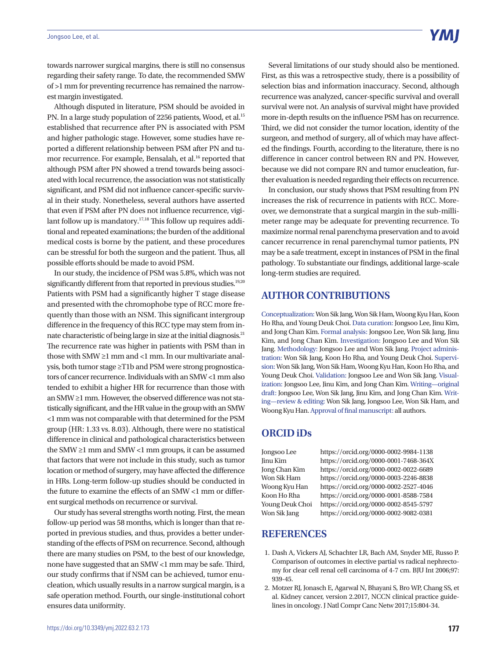towards narrower surgical margins, there is still no consensus regarding their safety range. To date, the recommended SMW of >1 mm for preventing recurrence has remained the narrowest margin investigated.

Although disputed in literature, PSM should be avoided in PN. In a large study population of 2256 patients, Wood, et al.<sup>15</sup> established that recurrence after PN is associated with PSM and higher pathologic stage. However, some studies have reported a different relationship between PSM after PN and tumor recurrence. For example, Bensalah, et al.<sup>16</sup> reported that although PSM after PN showed a trend towards being associated with local recurrence, the association was not statistically significant, and PSM did not influence cancer-specific survival in their study. Nonetheless, several authors have asserted that even if PSM after PN does not influence recurrence, vigilant follow up is mandatory.<sup>17,18</sup> This follow up requires additional and repeated examinations; the burden of the additional medical costs is borne by the patient, and these procedures can be stressful for both the surgeon and the patient. Thus, all possible efforts should be made to avoid PSM.

In our study, the incidence of PSM was 5.8%, which was not significantly different from that reported in previous studies.<sup>19,20</sup> Patients with PSM had a significantly higher T stage disease and presented with the chromophobe type of RCC more frequently than those with an NSM. This significant intergroup difference in the frequency of this RCC type may stem from innate characteristic of being large in size at the initial diagnosis.21 The recurrence rate was higher in patients with PSM than in those with SMW ≥1 mm and <1 mm. In our multivariate analysis, both tumor stage ≥T1b and PSM were strong prognosticators of cancer recurrence. Individuals with an SMW <1 mm also tended to exhibit a higher HR for recurrence than those with an SMW ≥1 mm. However, the observed difference was not statistically significant, and the HR value in the group with an SMW <1 mm was not comparable with that determined for the PSM group (HR: 1.33 vs. 8.03). Although, there were no statistical difference in clinical and pathological characteristics between the SMW ≥1 mm and SMW <1 mm groups, it can be assumed that factors that were not include in this study, such as tumor location or method of surgery, may have affected the difference in HRs. Long-term follow-up studies should be conducted in the future to examine the effects of an SMW <1 mm or different surgical methods on recurrence or survival.

Our study has several strengths worth noting. First, the mean follow-up period was 58 months, which is longer than that reported in previous studies, and thus, provides a better understanding of the effects of PSM on recurrence. Second, although there are many studies on PSM, to the best of our knowledge, none have suggested that an SMW <1 mm may be safe. Third, our study confirms that if NSM can be achieved, tumor enucleation, which usually results in a narrow surgical margin, is a safe operation method. Fourth, our single-institutional cohort ensures data uniformity.

Several limitations of our study should also be mentioned. First, as this was a retrospective study, there is a possibility of selection bias and information inaccuracy. Second, although recurrence was analyzed, cancer-specific survival and overall survival were not. An analysis of survival might have provided more in-depth results on the influence PSM has on recurrence. Third, we did not consider the tumor location, identity of the surgeon, and method of surgery, all of which may have affected the findings. Fourth, according to the literature, there is no difference in cancer control between RN and PN. However, because we did not compare RN and tumor enucleation, further evaluation is needed regarding their effects on recurrence.

In conclusion, our study shows that PSM resulting from PN increases the risk of recurrence in patients with RCC. Moreover, we demonstrate that a surgical margin in the sub-millimeter range may be adequate for preventing recurrence. To maximize normal renal parenchyma preservation and to avoid cancer recurrence in renal parenchymal tumor patients, PN may be a safe treatment, except in instances of PSM in the final pathology. To substantiate our findings, additional large-scale long-term studies are required.

### **AUTHOR CONTRIBUTIONS**

Conceptualization: Won Sik Jang, Won Sik Ham, Woong Kyu Han, Koon Ho Rha, and Young Deuk Choi. Data curation: Jongsoo Lee, Jinu Kim, and Jong Chan Kim. Formal analysis: Jongsoo Lee, Won Sik Jang, Jinu Kim, and Jong Chan Kim. Investigation: Jongsoo Lee and Won Sik Jang. Methodology: Jongsoo Lee and Won Sik Jang. Project administration: Won Sik Jang, Koon Ho Rha, and Young Deuk Choi. Supervision: Won Sik Jang, Won Sik Ham, Woong Kyu Han, Koon Ho Rha, and Young Deuk Choi. Validation: Jongsoo Lee and Won Sik Jang. Visualization: Jongsoo Lee, Jinu Kim, and Jong Chan Kim. Writing—original draft: Jongsoo Lee, Won Sik Jang, Jinu Kim, and Jong Chan Kim. Writing—review & editing: Won Sik Jang, Jongsoo Lee, Won Sik Ham, and Woong Kyu Han. Approval of final manuscript: all authors.

### **ORCID iDs**

Jongsoo Lee https://orcid.org/0000-0002-9984-1138 Jinu Kim https://orcid.org/0000-0001-7468-364X Jong Chan Kim https://orcid.org/0000-0002-0022-6689 Won Sik Ham https://orcid.org/0000-0003-2246-8838 Woong Kyu Han https://orcid.org/0000-0002-2527-4046 Koon Ho Rha https://orcid.org/0000-0001-8588-7584 Young Deuk Choi https://orcid.org/0000-0002-8545-5797 Won Sik Jang https://orcid.org/0000-0002-9082-0381

## **REFERENCES**

- 1. Dash A, Vickers AJ, Schachter LR, Bach AM, Snyder ME, Russo P. Comparison of outcomes in elective partial vs radical nephrectomy for clear cell renal cell carcinoma of 4-7 cm. BJU Int 2006;97: 939-45.
- 2. Motzer RJ, Jonasch E, Agarwal N, Bhayani S, Bro WP, Chang SS, et al. Kidney cancer, version 2.2017, NCCN clinical practice guidelines in oncology. J Natl Compr Canc Netw 2017;15:804-34.